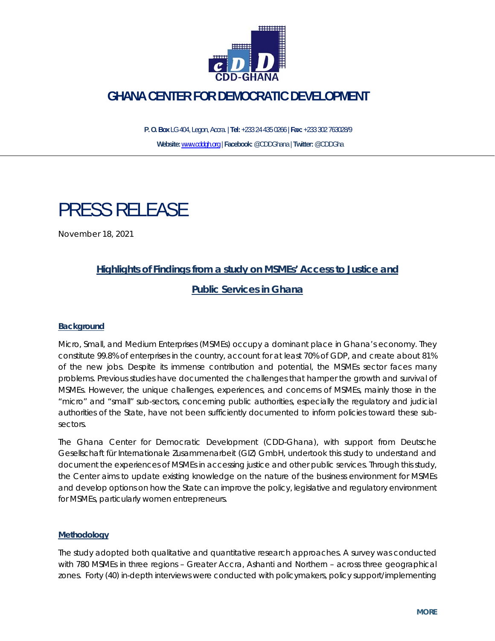

# **GHANA CENTER FOR DEMOCRATIC DEVELOPMENT**

 **P. O. Box** LG 404, Legon, Accra. | **Tel:** +233 24 435 0266 | **Fax:** +233 302 763028/9 **Website:** www.cddgh.org | **Facebook:** @CDDGhana | **Twitter:** @CDDGha

# PRESS RELEASE

November 18, 2021

## **Highlights of Findings from a study on MSMEs' Access to Justice and**

### **Public Services in Ghana**

#### **Background**

Micro, Small, and Medium Enterprises (MSMEs) occupy a dominant place in Ghana's economy. They constitute 99.8% of enterprises in the country, account for at least 70% of GDP, and create about 81% of the new jobs. Despite its immense contribution and potential, the MSMEs sector faces many problems. Previous studies have documented the challenges that hamper the growth and survival of MSMEs. However, the unique challenges, experiences, and concerns of MSMEs, mainly those in the "micro" and "small" sub-sectors, concerning public authorities, especially the regulatory and judicial authorities of the State, have not been sufficiently documented to inform policies toward these subsectors.

The Ghana Center for Democratic Development (CDD-Ghana), with support from Deutsche Gesellschaft für Internationale Zusammenarbeit (GIZ) GmbH, undertook this study to understand and document the experiences of MSMEs in accessing justice and other public services. Through this study, the Center aims to update existing knowledge on the nature of the business environment for MSMEs and develop options on how the State can improve the policy, legislative and regulatory environment for MSMEs, particularly women entrepreneurs.

#### **Methodology**

The study adopted both qualitative and quantitative research approaches. A survey was conducted with 780 MSMEs in three regions – Greater Accra, Ashanti and Northern – across three geographical zones. Forty (40) in-depth interviews were conducted with policymakers, policy support/implementing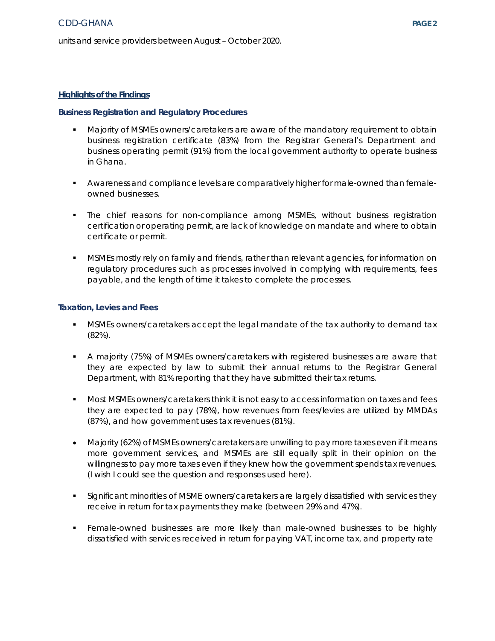#### **Business Registration and Regulatory Procedures**

- Majority of MSMEs owners/caretakers are aware of the mandatory requirement to obtain business registration certificate (83%) from the Registrar General's Department and business operating permit (91%) from the local government authority to operate business in Ghana.
- Awareness and compliance levels are comparatively higher for male-owned than femaleowned businesses.
- The chief reasons for non-compliance among MSMEs, without business registration certification or operating permit, are lack of knowledge on mandate and where to obtain certificate or permit.
- **MISMES mostly rely on family and friends, rather than relevant agencies, for information on** regulatory procedures such as processes involved in complying with requirements, fees payable, and the length of time it takes to complete the processes.

#### **Taxation, Levies and Fees**

- MSMEs owners/caretakers accept the legal mandate of the tax authority to demand tax (82%).
- A majority (75%) of MSMEs owners/caretakers with registered businesses are aware that they are expected by law to submit their annual returns to the Registrar General Department, with 81% reporting that they have submitted their tax returns.
- **Most MSMEs owners/caretakers think it is not easy to access information on taxes and fees** they are expected to pay (78%), how revenues from fees/levies are utilized by MMDAs (87%), and how government uses tax revenues (81%).
- Majority (62%) of MSMEs owners/caretakers are unwilling to pay more taxes even if it means more government services, and MSMEs are still equally split in their opinion on the willingness to pay more taxes even if they knew how the government spends tax revenues. (I wish I could see the question and responses used here).
- **Significant minorities of MSME owners/caretakers are largely dissatisfied with services they** receive in return for tax payments they make (between 29% and 47%).
- Female-owned businesses are more likely than male-owned businesses to be highly dissatisfied with services received in return for paying VAT, income tax, and property rate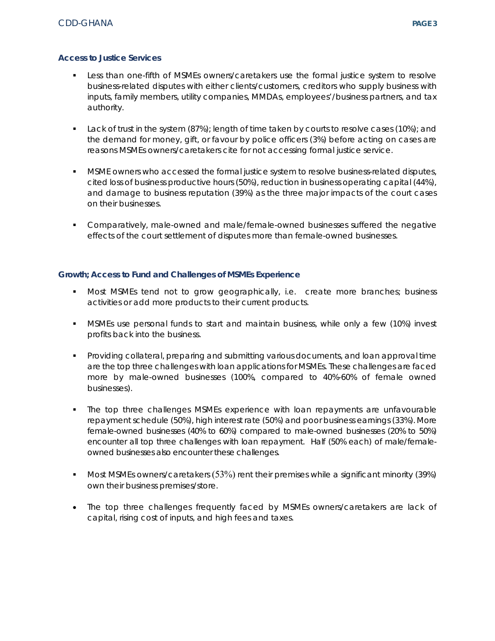#### **Access to Justice Services**

- **Less than one-fifth of MSMEs owners/caretakers use the formal justice system to resolve** business-related disputes with either clients/customers, creditors who supply business with inputs, family members, utility companies, MMDAs, employees'/business partners, and tax authority.
- Lack of trust in the system (87%); length of time taken by courts to resolve cases (10%); and the demand for money, gift, or favour by police officers (3%) before acting on cases are reasons MSMEs owners/caretakers cite for not accessing formal justice service.
- **MISME owners who accessed the formal justice system to resolve business-related disputes,** cited loss of business productive hours (50%), reduction in business operating capital (44%), and damage to business reputation (39%) as the three major impacts of the court cases on their businesses.
- Comparatively, male-owned and male/female-owned businesses suffered the negative effects of the court settlement of disputes more than female-owned businesses.

#### **Growth; Access to Fund and Challenges of MSMEs Experience**

- Most MSMEs tend not to grow geographically, i.e. create more branches; business activities or add more products to their current products.
- MSMEs use personal funds to start and maintain business, while only a few (10%) invest profits back into the business.
- **Providing collateral, preparing and submitting various documents, and loan approval time** are the top three challenges with loan applications for MSMEs. These challenges are faced more by male-owned businesses (100%, compared to 40%-60% of female owned businesses).
- The top three challenges MSMEs experience with loan repayments are unfavourable repayment schedule (50%), high interest rate (50%) and poor business earnings (33%). More female-owned businesses (40% to 60%) compared to male-owned businesses (20% to 50%) encounter all top three challenges with loan repayment. Half (50% each) of male/femaleowned businesses also encounter these challenges.
- **Most MSMEs owners/caretakers (53%) rent their premises while a significant minority (39%)** own their business premises/store.
- The top three challenges frequently faced by MSMEs owners/caretakers are lack of capital, rising cost of inputs, and high fees and taxes.